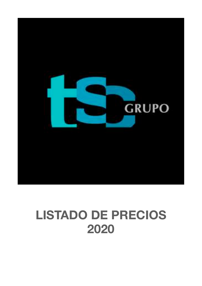

## **LISTADO DE PRECIOS 2020**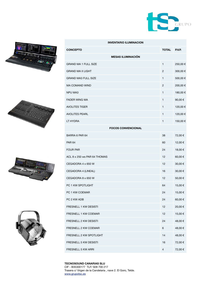









| <b>INVENTARIO ILUMINACION</b> |                |         |  |
|-------------------------------|----------------|---------|--|
| <b>CONCEPTO</b>               | <b>TOTAL</b>   | P.V.P.  |  |
| <b>MESAS ILUMINACIÓN</b>      |                |         |  |
| <b>GRAND MA 1 FULL SIZE</b>   | $\mathbf{1}$   | 250,00€ |  |
| <b>GRAND MA II LIGHT</b>      | 2              | 300,00€ |  |
| <b>GRAND MA3 FULL SIZE</b>    | 1              | 500,00€ |  |
| <b>MA COMAND WIND</b>         | 2              | 200,00€ |  |
| <b>NPU MA3</b>                | $\mathbf{1}$   | 180,00€ |  |
| <b>FADER WING MA</b>          | 1              | 90,00€  |  |
| <b>AVOLITES TIGER</b>         | 1              | 120,00€ |  |
| <b>AVOLITES PEARL</b>         | 1              | 120,00€ |  |
| LT HYDRA                      | $\mathbf{1}$   | 150,00€ |  |
| <b>FOCOS CONVENCIONAL</b>     |                |         |  |
| BARRA 6 PAR 64                | 38             | 72,00 € |  |
| <b>PAR 64</b>                 | 60             | 12,00€  |  |
| <b>FOUR PAR</b>               | 24             | 18,00€  |  |
| ACL 8 x 250 ws PAR 64 THOMAS  | 12             | 60,00€  |  |
| CEGADORA 4 x 650 W            | 12             | 30,00€  |  |
| CEGADORA 4 (LINEAL)           | 16             | 30,00 € |  |
| CEGADORA 8 x 650 W            | 12             | 50,00€  |  |
| PC 1 KW SPOTLIGHT             | 64             | 15,00€  |  |
| PC 1 KW COEMAR                | 24             | 15,00€  |  |
| PC 2 KW ADB                   | 24             | 60,00€  |  |
| FRESNELL 1 KW DESISTI         | 12             | 20,00€  |  |
| FRESNELL 1 KW COEMAR          | 12             | 15,00€  |  |
| FRESNELL 2 KW DESISTI         | 24             | 48,00 € |  |
| FRESNELL 2 KW COEMAR          | 6              | 48,00€  |  |
| FRESNELL 2 KW SPOTLIGHT       | 14             | 48,00€  |  |
| FRESNELL 5 KW DESISTI         | 16             | 72,00€  |  |
| FRESNELL 5 KW ARRI            | $\overline{4}$ | 72,00 € |  |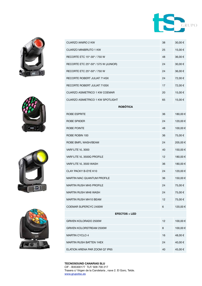









| <b>CUARZO IANIRO 2 KW</b>               | 38 | 30,00 €  |  |  |
|-----------------------------------------|----|----------|--|--|
| <b>CUARZO MINIBRUTO 1 KW</b>            | 25 | 15,00 €  |  |  |
| RECORTE ETC 15°-30° / 750 W             | 48 | 36,00 €  |  |  |
| RECORTE ETC 25°-50° / 575 W (JUNIOR)    | 24 | 30,00€   |  |  |
| RECORTE ETC 25°-50° / 750 W             | 24 | 36,00 €  |  |  |
| <b>RECORTE ROBERT JULIAT 714SX</b>      | 24 | 72,00 €  |  |  |
| RECORTE ROBERT JULIAT 710SX             | 17 | 72,00 €  |  |  |
| <b>CUARZO ASIMETRICO 1 KW COEMAR</b>    | 20 | 15,00€   |  |  |
| <b>CUARZO ASIMETRICO 1 KW SPOTLIGHT</b> | 65 | 15,00 €  |  |  |
| <b>ROBÓTICA</b>                         |    |          |  |  |
| ROBE ESPRITE                            | 36 | 180,00 € |  |  |
| ROBE SPIIDER                            | 24 | 120,00€  |  |  |
| ROBE POINTE                             | 48 | 100,00€  |  |  |
| ROBE ROBIN 100                          | 36 | 75,00€   |  |  |
| ROBE BMFL WASH/BEAM                     | 24 | 205,00€  |  |  |
| VARI*LITE VL 3000                       | 40 | 150,00€  |  |  |
| VARI*LITE VL 3500Q PROFILE              | 12 | 180,00€  |  |  |
| VARI*LITE VL 3500 WASH                  | 36 | 180,00 € |  |  |
| CLAY PACKY B-EYE K10                    | 24 | 120,00€  |  |  |
| <b>MARTIN MAC QUANTUM PROFILE</b>       | 36 | 150,00€  |  |  |
| <b>MARTIN RUSH MH5 PROFILE</b>          | 24 | 75,00 €  |  |  |
| <b>MARTIN RUSH MH6 WASH</b>             | 24 | 75,00€   |  |  |
| MARTIN RUSH MH10 BEAM                   | 12 | 75,00€   |  |  |
| COEMAR SUPERCYC 2400W                   | 6  | 120,00 € |  |  |
| <b>EFECTOS + LED</b>                    |    |          |  |  |
| GRIVEN KOLORADO 2500W                   | 12 | 100,00€  |  |  |
| <b>GRIVEN KOLORSTREAM 2500W</b>         | 8  | 100,00 € |  |  |
| <b>MARTIN CYCLO 4</b>                   | 16 | 48,00 €  |  |  |
| <b>MARTIN RUSH BATTEN 1HEX</b>          | 24 | 40,00€   |  |  |
| ELATION ARENA PAR ZOOM Q7 IP65          | 40 | 45,00 €  |  |  |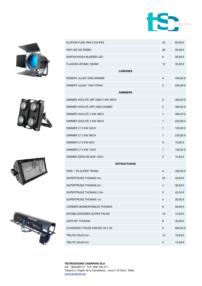









| ELATION FUZE PAR Z120 IP65         | 24             | 60,00€   |
|------------------------------------|----------------|----------|
| PAR LED 5W RGBW                    | 36             | 30,00 €  |
| <b>MARTIN RUSH BLINDER LED</b>     | 6              | 30,00 €  |
| <b>FLASHES ATOMIC 3000W</b>        | 12             | 30,00€   |
| <b>CAÑONES</b>                     |                |          |
| ROBERT JULIAT 2500 ARAMIS          | 4              | 400,00 € |
| ROBERT JULIAT 1200 TOPAZ           | 2              | 200,00€  |
| <b>DIMMERS</b>                     |                |          |
| DIMMER AVOLITE ART 2000 2 KW 48CH  | 2              | 360,00€  |
| DIMMER AVOLITE ART 2000 COMBO      | 2              | 360,00€  |
| DIMMER AVOLITE 2 KW 48CH           | 1              | 360,00€  |
| DIMMER AVOLITE 2 KW 36CH           | 1              | 220,00€  |
| DIMMER LT 2 KW 24CH                | 1              | 150,00€  |
| DIMMER LT 2 KW 36CH                | 1              | 220,00€  |
| DIMMER LT 5 KW 6CH                 |                | 75,00€   |
| DIMMER LT 5 KW 12CH                | 1              | 150,00 € |
| DIMMER ZERO 88 2KW 12CH            | 2              | 75,00€   |
| <b>ESTRUCTURAS</b>                 |                |          |
| PATA 1 TN SUPER TRUSS              | 4              | 300,00€  |
| SUPERTRUSS THOMAS 3m               | 52             | 48,00 €  |
| SUPERTRUSS THOMAS 2m               | 4              | 36,00 €  |
| SUPERTRUSS THOMAS 2,5m             |                | 42,00€   |
| SUPERTRUSS THOMAS 1m               | $\overline{4}$ | 30,00€   |
| <b>CORNER DESMONTABLES THOMAS</b>  | 6              | 36,00€   |
| <b>ESTABILIZADORES SUPER TRUSS</b> | 16             | 15,00€   |
| GATE 90° THOMAS                    | 8              | 30,00€   |
| CUADRADO TRUSS FANTEK 30 X 30      | $\overline{2}$ | 600,00€  |
| TRILITE 30x30 3m                   | 12             | 18,00€   |
| TRILITE 30x30 2m                   | 4              | 15,00 €  |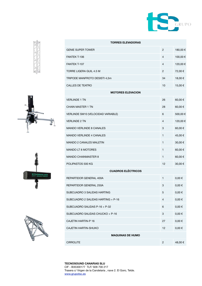









| <b>TORRES ELEVADORAS</b>           |                |            |  |  |
|------------------------------------|----------------|------------|--|--|
| <b>GENIE SUPER TOWER</b>           | $\overline{2}$ | 180,00€    |  |  |
| FANTEK T-106                       | 4              | 100,00€    |  |  |
| <b>FANTEK T-107</b>                | $\overline{4}$ | 120,00€    |  |  |
| TORRE LIGERA GUIL 4.5 M            | $\overline{c}$ | 72,00€     |  |  |
| TRIPODE MANFROTO DESISTI 4,5m      | 34             | 18,00€     |  |  |
| <b>CALLES DE TEATRO</b>            | 10             | 15,00€     |  |  |
| <b>MOTORES ELEVACION</b>           |                |            |  |  |
| <b>VERLINDE 1 TN</b>               | 26             | 60,00€     |  |  |
| <b>CHAIN MASTER 1 TN</b>           | 28             | 60,00€     |  |  |
| VERLINDE SM10 (VELOCIDAD VARIABLE) | 6              | 500,00€    |  |  |
| <b>VERLINDE 2 TN</b>               | $\overline{4}$ | 120,00€    |  |  |
| <b>MANDO VERLINDE 8 CANALES</b>    | 3              | 60,00€     |  |  |
| <b>MANDO VERLINDE 4 CANALES</b>    | 1              | 45,00€     |  |  |
| <b>MANDO 2 CANALES MALETIN</b>     | 1              | 30,00€     |  |  |
| <b>MANDO LT 8 MOTORES</b>          | $\mathbf{1}$   | 60,00€     |  |  |
| <b>MANDO CHAINMASTER 8</b>         | 1              | 60,00€     |  |  |
| POLIPASTOS 500 KG                  | 12             | 30,00€     |  |  |
| <b>CUADROS ELÉCTRICOS</b>          |                |            |  |  |
| REPARTIDOR GENERAL 400A            | $\mathbf{1}$   | $0,00 \in$ |  |  |
| REPARTIDOR GENERAL 250A            | 3              | $0,00 \in$ |  |  |
| SUBCUADRO 3 SALIDAS HARTING        | 5.             | $0,00 \in$ |  |  |
| SUBCUADRO 2 SALIDAS HARTING + P-16 | 4              | $0,00 \in$ |  |  |
| SUBCUADRO SALIDAS P-16 + P-32      | 6              | $0,00 \in$ |  |  |
| SUBCUADRO SALIDAS CHUCKO + P-16    | 3              | $0,00 \in$ |  |  |
| <b>CAJETIN HARTIN-P 16</b>         | 27             | $0,00 \in$ |  |  |
| CAJETIN HARTIN-SHUKO               | 12             | $0,00 \in$ |  |  |
| <b>MAQUINAS DE HUMO</b>            |                |            |  |  |
| <b>CIRROLITE</b>                   | $\overline{2}$ | 48,00€     |  |  |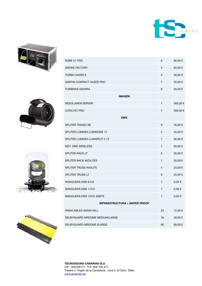









| ROBE X1 PRO                          | 6  | 90,00€     |  |  |
|--------------------------------------|----|------------|--|--|
| <b>SMOKE FACTORY</b>                 | 4  | 60,00€     |  |  |
| <b>TURBO HAZER II</b>                | 2  | 50,00€     |  |  |
| <b>MARTIN COMPACT HAZER PRO</b>      | 1  | 50,00€     |  |  |
| <b>TURBINAS SAHARA</b>               | 8  | 30,00 €    |  |  |
| <b>IMAGEN</b>                        |    |            |  |  |
| <b>RESOLUMEN SERVER</b>              | 1  | 300,00€    |  |  |
| <b>CATALYST PRO</b>                  | 1  | 300,00€    |  |  |
| <b>DMX</b>                           |    |            |  |  |
| <b>SPLITER TINHAO S8</b>             | 9  | 45,00€     |  |  |
| SPLITER LUMINEX LUMINODE 12          | 2  | 45,00 €    |  |  |
| SPLITER LUMINEX LUMISPLIT 2.10       | 1  | 60,00€     |  |  |
| <b>SIST. DMX WIRELESS</b>            | 1  | 65,00€     |  |  |
| SPLITER RACK LT                      | 5  | 35,00 €    |  |  |
| SPLITER RACK AVOLITES                | 1  | 35,00 €    |  |  |
| SPLITER TRUSS AVOLITE                | 4  | 25,00 €    |  |  |
| <b>SPLITER TRUSS LT</b>              | 9  | 25,00€     |  |  |
| MANGUERA DMX 8 CH                    | 1  | $0,00 \in$ |  |  |
| MANGUERA DMX 11CH                    | 1  | $0,00 \in$ |  |  |
| MANGUERA DMX 12CH 40MTS              | 1  | $0,00 \in$ |  |  |
| <b>INFRAESTRUCTURA + WATER PROOF</b> |    |            |  |  |
| PASACABLES ADAM HALL                 | 24 | 12,00 €    |  |  |
| SELBYGUARD AIRDOME MEDIUM/LARGE      | 16 | 40,00 €    |  |  |
| SELBYGUARD AIRDOME XLARGE            | 80 | 60,00€     |  |  |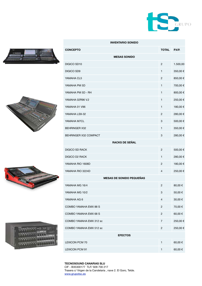









| <b>INVENTARIO SONIDO</b>        |                |          |  |
|---------------------------------|----------------|----------|--|
| <b>CONCEPTO</b>                 | <b>TOTAL</b>   | P.V.P.   |  |
| <b>MESAS SONIDO</b>             |                |          |  |
| DIGICO SD10                     | $\overline{2}$ | 1.500,00 |  |
| DIGICO SD9                      | 1              | 350,00€  |  |
| YAMAHA CL5                      | 2              | 850,00€  |  |
| YAMAHA PM 5D                    | 1              | 700,00 € |  |
| YAMAHA PM 5D - RH               | 1              | 800,00€  |  |
| YAMAHA 02R96 V.2                | 1              | 250,00€  |  |
| YAMAHA 01 V96                   | 1              | 180,00 € |  |
| YAMAHA LS9-32                   | $\overline{2}$ | 280,00 € |  |
| YAMAHA M7CL                     | 3              | 500,00€  |  |
| <b>BEHRINGER X32</b>            | 1              | 350,00€  |  |
| BEHRINGER X32 COMPACT           | 3              | 280,00€  |  |
| <b>RACKS DE SEÑAL</b>           |                |          |  |
| <b>DIGICO SD RACK</b>           | $\overline{2}$ | 500,00€  |  |
| <b>DIGICO D2 RACK</b>           | 1              | 280,00€  |  |
| YAMAHA RIO 1608D                | 2              | 180,00 € |  |
| YAMAHA RIO 3224D                | 4              | 250,00 € |  |
| <b>MESAS DE SONIDO PEQUEÑAS</b> |                |          |  |
| YAMAHA MG 16/4                  | 2              | 80,00€   |  |
| YAMAHA MG 10/2                  | 3              | 50,00 €  |  |
| YAMAHA AG 6                     | 4              | 30,00€   |  |
| COMBO YAMAHA EMX 88 S           | $\overline{2}$ | 70,00€   |  |
| COMBO YAMAHA EMX 68 S           | $\overline{2}$ | 60,00€   |  |
| COMBO YAMAHA EMX 312 sc         | $\overline{7}$ | 250,00€  |  |
| COMBO YAMAHA EMX 512 sc         | $\overline{c}$ | 250,00€  |  |
| <b>EFECTOS</b>                  |                |          |  |
| <b>LEXICON PCM 70</b>           | 1              | 60,00€   |  |
| <b>LEXICON PCM 91</b>           | 1              | 60,00€   |  |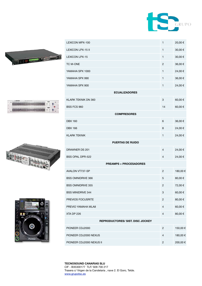









| LEXICON MPX-100                         | 1              | 20,00€  |
|-----------------------------------------|----------------|---------|
| <b>LEXICON LPX-15 II</b>                | $\mathbf{1}$   | 30,00€  |
| <b>LEXICON LPX-15</b>                   | 1              | 30,00 € |
| TC M-ONE                                | 2              | 36,00€  |
| YAMAHA SPX 1000                         | 1              | 24,00€  |
| YAMAHA SPX 990                          | $\mathbf{1}$   | 36,00€  |
| YAMAHA SPX 900                          | 1              | 24,00€  |
| <b>ECUALIZADORES</b>                    |                |         |
| KLARK TEKNIK DN 360                     | 3              | 60,00€  |
| <b>BSS FCS 960</b>                      | 14             | 60,00€  |
| <b>COMPRESORES</b>                      |                |         |
| <b>DBX 160</b>                          | 6              | 36,00€  |
| <b>DBX 166</b>                          | 8              | 24,00€  |
| <b>KLARK TEKNIK</b>                     | $\mathbf{1}$   | 24,00€  |
| <b>PUERTAS DE RUIDO</b>                 |                |         |
| DRAWNER DS 201                          | 4              | 24,00€  |
| <b>BSS OPAL DPR-522</b>                 | 4              | 24,00€  |
| <b>PREAMPS + PROCESADORES</b>           |                |         |
| AVALON VT737-SP                         | 2              | 180,00€ |
| <b>BSS OMNIDRIVE 366</b>                | 5              | 80,00€  |
| <b>BSS OMNIDRIVE 355</b>                | 2              | 72,00€  |
| <b>BSS MINIDRIVE 344</b>                | 3              | 60,00€  |
| PREVIOS FOCUSRITE                       | $\overline{c}$ | 80,00€  |
| PREVIO YAMAHA MLA8                      | 4              | 60,00€  |
| XTA DP 226                              | 4              | 80,00€  |
| <b>REPRODUCTORES/ SIST. DISC JOCKEY</b> |                |         |
| PIONEER CDJ2000                         | $\overline{c}$ | 150,00€ |
| PIONEER CDJ2000 NEXUS                   | 4              | 180,00€ |
| PIONEER CDJ2000 NEXUS II                | 2              | 200,00€ |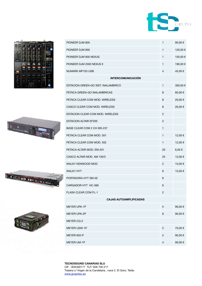

|        |    | <b>Proness Dr</b> |   |                            |
|--------|----|-------------------|---|----------------------------|
|        |    | k                 |   |                            |
| m<br>u |    |                   |   |                            |
|        |    |                   |   | amovi<br><b>00 P.Y.</b>    |
|        |    |                   |   | 4.444<br><b>ISBN 0-100</b> |
|        |    |                   |   | œ                          |
| ш      |    |                   |   | œ<br>Ξ                     |
|        |    |                   |   |                            |
|        |    |                   | m |                            |
|        |    |                   |   |                            |
|        |    |                   |   |                            |
| о      | £6 | NUMBER<br>m       |   | -10.64-009-0.02            |

| PIONEER DJM 800                     | $\mathbf{1}$   | 90,00 €  |  |  |
|-------------------------------------|----------------|----------|--|--|
| PIONEER DJM 900                     | 1              | 120,00 € |  |  |
| PIONEER DJM 900 NEXUS               | $\mathbf{1}$   | 150,00 € |  |  |
| PIONEER DJM 2000 NEXUS II           | $\mathbf{1}$   | 190,00 € |  |  |
| NUMARK MP103 USB                    | $\overline{4}$ | 45,00€   |  |  |
| <b>INTERCOMUNICACIÓN</b>            |                |          |  |  |
| ESTACION GREEN-GO SIST. INALAMBRICO | $\mathbf{1}$   | 300,00 € |  |  |
| PETACA GREEN-GO INALAMBRICAS        | 8              | 60,00€   |  |  |
| PETACA CLEAR COM MOD. WIRELESS      | 8              | 20,00€   |  |  |
| CASCO CLEAR COM MOD. WIRELESS       | 8              | 20,00€   |  |  |
| ESTACION CLEAR COM MOD. WIRELESS    | 2              |          |  |  |
| <b>ESTACION ALTAIR EF200</b>        | 2              |          |  |  |
| BASE CLEAR COM 2 CH MS-237          | $\mathbf{1}$   |          |  |  |
| PETACA CLEAR COM MOD. 501           | 1              | 12,00€   |  |  |
| PETACA CLEAR COM MOD. 502           | 1              | 12,00€   |  |  |
| PETACA ALTAIR MOD. EM-201           | 20             | 6,00€    |  |  |
| CASCO ALTAIR MOD. AM 100/2          | 25             | 12,00€   |  |  |
| <b>WALKY KENWOOD MOD</b>            | $\overline{2}$ | 15,00€   |  |  |
| <b>WALKY HYT</b>                    | 6              | 15,00€   |  |  |
| PORTADORA HYT SM-02                 | 6              |          |  |  |
| CARGADOR HYT HC-366                 | 6              |          |  |  |
| <b>FLASH CLEAR COM FL-1</b>         | 2              |          |  |  |
| <b>CAJAS AUTOAMPLIFICADAS</b>       |                |          |  |  |
| MEYER UPA-1P                        | 5              | 90,00€   |  |  |
| <b>MEYER UPA-2P</b>                 | 8              | 90,00€   |  |  |
| MEYER CQ-2                          |                |          |  |  |
| <b>MEYER USW-1P</b>                 | $\overline{c}$ | 70,00€   |  |  |
|                                     |                |          |  |  |

MEYER 650-P  $2$  90,00 €

MEYER UM-1P  $\qquad \qquad 4 \qquad \qquad 90,00 \in$ 



**RACE INTERNATIONAL** 

 $\begin{array}{|c|c|c|c|c|}\n\hline\n\ddot{\phi} & \mathbf{a} & \mathbf{i} & \mathbf{j} & \mathbf{k} \\ \hline\n\ddot{\phi} & \mathbf{a} & \mathbf{b} & \mathbf{b} & \mathbf{b} & \mathbf{k} \\ \hline\n\end{array}$ 

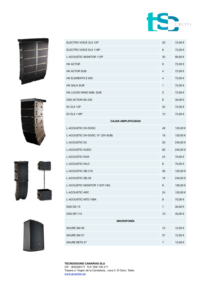









| ELECTRO VOICE ZLX 12P           | 20             | 72,00 €  |  |  |
|---------------------------------|----------------|----------|--|--|
| ELECTRO VOICE ELX 118P          | 8              | 72,00 €  |  |  |
| L-ACOUSTIC MONITOR 112P         | 32             | 90,00€   |  |  |
| <b>HK ACTOR</b>                 | 6              | 72,00€   |  |  |
| <b>HK ACTOR SUB</b>             | 4              | 72,00€   |  |  |
| HK ELEMENTS E 835               | 4              | 72,00 €  |  |  |
| <b>HK GALA SUB</b>              | 1              | 72,00€   |  |  |
| HK LUCAS NANO 608I, SUB         | 3              | 72,00€   |  |  |
| DAS ACTION 8A-230               | 8              | 30,00€   |  |  |
| EV ZLX 12P                      | 32             | 72,00 €  |  |  |
| EV ELX 118P                     | 12             | 72,00€   |  |  |
| <b>CAJAS AMPLIFICADAS</b>       |                |          |  |  |
| L-ACOUSTIC DV-DOSC              | 48             | 120,00€  |  |  |
| L-ACOUSTIC DV-DOSC 15" (DV-SUB) | 16             | 120,00 € |  |  |
| L-ACOUSTIC K2                   | 20             | 240,00€  |  |  |
| L-ACOUSTIC KUDO                 | 60             | 240,00€  |  |  |
| <b>L-ACOUSTIC KIVA</b>          | 24             | 70,00€   |  |  |
| <b>L-ACOUSTIC KILO</b>          | 8              | 70,00€   |  |  |
| L-ACOUSTIC SB-218               | 36             | 120,00 € |  |  |
| L-ACOUSTIC SB-28                | 16             | 240,00€  |  |  |
| L-ACOUSTIC MONITOR 115XT HIQ    | 8              | 100,00€  |  |  |
| L-ACOUSTIC ARC                  | 24             | 120,00 € |  |  |
| L-ACOUSTIC MTD 108A             | 8              | 70,00€   |  |  |
| DAS DS-15                       | 7              | 30,00€   |  |  |
| <b>DAS DR-115</b>               | 10             | 40,00€   |  |  |
| <b>MICROFONÍA</b>               |                |          |  |  |
| SHURE SM 58                     | 75             | 12,00€   |  |  |
| SHURE SM 57                     | 57             | 12,00€   |  |  |
| SHURE BETA 57                   | $\overline{7}$ | 15,00€   |  |  |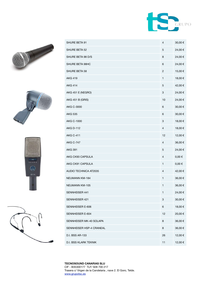









| SHURE BETA 91                | 4  | 30,00 €    |
|------------------------------|----|------------|
| SHURE BETA 52                | 5  | 24,00€     |
| SHURE BETA 98 D/S            | 8  | 24,00€     |
| SHURE BETA 98HC              | 6  | 24,00€     |
| SHURE BETA 58                | 2  | 15,00€     |
| <b>AKG 419</b>               | 1  | 18,00€     |
| <b>AKG 414</b>               | 5  | 42,00 €    |
| AKG 451 E (NEGRO)            | 3  | 24,00€     |
| AKG 451 B (GRIS)             | 10 | 24,00€     |
| AKG C-3000                   | 6  | 30,00€     |
| <b>AKG 535</b>               | 6  | 30,00 €    |
| <b>AKG C-1000</b>            | 3  | 18,00€     |
| <b>AKG D-112</b>             | 4  | 18,00 €    |
| <b>AKG C-411</b>             | 12 | 12,00€     |
| <b>AKG C-747</b>             | 4  | 36,00€     |
| <b>AKG 391</b>               | 5  | 24,00€     |
| AKG CK93 CAPSULA             | 4  | $0,00 \in$ |
| AKG CK91 CAPSULA             | 1  | $0,00 \in$ |
| <b>AUDIO TECHNICA AT2035</b> | 4  | 42,00€     |
| <b>NEUMANN KM-184</b>        | 1  | 36,00€     |
| NEUMANN KM-105               | 1  | 36,00 €    |
| SENNHEISER 441               | 1  | 24,00€     |
| SENNHEISER 421               | 3  | 30,00€     |
| SENNHEISER E-606             | 6  | 18,00€     |
| SENNHEISER E-604             | 12 | 20,00€     |
| SENNHEISER MK-40 SOLAPA      | 8  | 36,00€     |
| SENNHEISER HSP-4 CRANEAL     | 8  | 36,00€     |
| D.I. BSS AR-133              | 26 | 12,00€     |
| D.I. BSS KLARK TEKNIK        | 11 | 12,00€     |
|                              |    |            |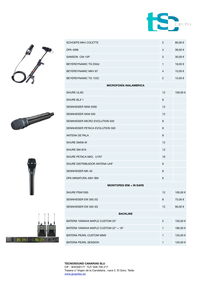









| SCHOEPS MK4 COLETTE                   | 2              | 80,00€   |
|---------------------------------------|----------------|----------|
| DPA 4099                              | $\overline{4}$ | 38,00€   |
| SAMSON CM-15P                         | 5              | 30,00 €  |
| BEYERDYNAMIC TG D50d                  | 1              | 18,00 €  |
| BEYERDYNAMIC MKV 87                   | 4              | 15,00 €  |
| BEYERDYNAMIC TG 153C                  | $\overline{c}$ | 15,00€   |
| <b>MICROFONÍA INALAMBRICA</b>         |                |          |
| <b>SHURE ULXD</b>                     | 12             | 100,00 € |
| SHURE BLX 1                           | 6              |          |
| SENNHEISER SKM 2000                   | 12             |          |
| SENNHEISER SKM 500                    | 12             |          |
| SENNHEISER MICRO EVOLUTION 500        | 8              |          |
| SENNHEISER PETACA EVOLUTION 500       | 8              |          |
| ANTENA DE PALA                        | 8              |          |
| SHURE SM58-W                          | 12             |          |
| SHURE SM-87A                          | 12             |          |
| SHURE PETACA MK2. U1R7                | 16             |          |
| SHURE DISTRIBUIDOR ANTENA UHF         | 6              |          |
| SENNHEISER MK-40                      | 8              |          |
| DPA MINIATURA 4061 BM                 | 6              |          |
| <b>MONITORES IEM + IN EARS</b>        |                |          |
| SHURE PSM1000                         | 12             | 100,00 € |
| SENNHEISER EW 300 2G                  | 8              | 75,00€   |
| SENNHEISER EW 300 3G                  | 12             | 90,00€   |
| <b>BACKLINE</b>                       |                |          |
| BATERIA YAMAHA MAPLE CUSTOM 20"       | $\overline{2}$ | 150,00€  |
| BATERIA YAMAHA MAPLE CUSTOM 22" + 18" | 1              | 180,00€  |
| BATERIA PEARL CUSTOM MMX              | 1              | 120,00 € |
| <b>BATERIA PEARL SESSION</b>          | 1              | 120,00€  |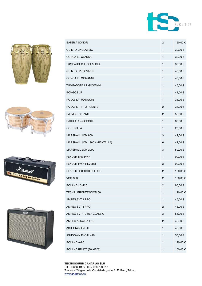









| <b>BATERIA SONOR</b>           | $\overline{c}$ | 120,00 € |
|--------------------------------|----------------|----------|
| QUINTO LP CLASSIC              | 1              | 30,00€   |
| CONGA LP CLASSIC               | 1              | 30,00€   |
| TUMBADORA LP CLASSIC           | $\mathbf{1}$   | 30,00€   |
| QUINTO LP GIOVANNI             | $\mathbf{1}$   | 45,00€   |
| CONGA LP GIOVANNI              | $\mathbf{1}$   | 45,00€   |
| TUMBADORA LP GIOVANNI          | 1              | 45,00€   |
| <b>BONGOS LP</b>               | $\mathbf{1}$   | 42,00€   |
| PAILAS LP MATADOR              | $\mathbf{1}$   | 36,00€   |
| PAILAS LP TITO PUENTE          | 2              | 36,00€   |
| DJEMBE + STAND                 | 2              | 50,00€   |
| DARBUKA + SOPORT.              | $\mathbf{1}$   | 80,00€   |
| <b>CORTINILLA</b>              | $\mathbf{1}$   | 28,00€   |
| MARSHALL JCM 900               | 3              | 42,00€   |
| MARSHALL JCM 1960 A (PANTALLA) | 6              | 42,00€   |
| MARSHALL JCM 2000              | 3              | 50,00€   |
| FENDER THE TWIN                | $\mathbf{1}$   | 90,00€   |
| <b>FENDER TWIN REVERB</b>      | 3              | 90,00€   |
| FENDER HOT ROD DELUXE          | 2              | 120,00 € |
| VOX AC30                       | 2              | 150,00€  |
| ROLAND JC-120                  | 2              | 90,00€   |
| TECH21 BRONZEWOOD 60           | 1              | 120,00€  |
| AMPEG SVT 3 PRO                | $\mathbf{1}$   | 45,00€   |
| AMPEG SVT 4 PRO                | $\overline{c}$ | 48,00€   |
| AMPEG SVT410 HLF CLASSIC       | 3              | 55,00€   |
| AMPEG ALTAVOZ 4*10             | 2              | 42,00€   |
| ASHDOWN EVO III                | 1              | 48,00€   |
| ASHDOWN EVO III 410            | 1              | 55,00€   |
| ROLAND A-90                    | 1              | 120,00 € |
| ROLAND RD 170 (88 KEYS)        | 1              | 100,00€  |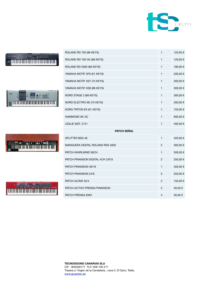

## $\mathbf{U}$  . We fire equal the set







ROLAND RD 700 (88 KEYS) 1 1 20,00 €

ROLAND RD 700 GX (88 KEYS) 1 1 20,00 €

ROLAND RD 2000 (88 KEYS) 1 180,00 €

YAMAHA MOTIF XF6 (61 KEYS) 1 200,00 €

YAMAHA MOTIF XS7 (75 KEYS) 1 200,00  $\epsilon$ 

YAMAHA MOTIF XS8 (88 KEYS) 1 300,00 €